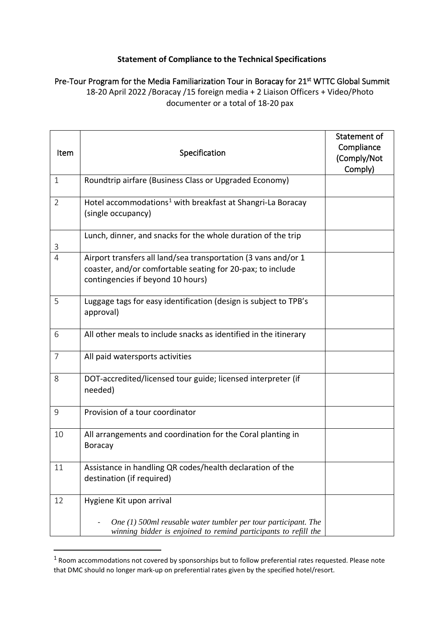## **Statement of Compliance to the Technical Specifications**

Pre-Tour Program for the Media Familiarization Tour in Boracay for 21<sup>st</sup> WTTC Global Summit 18-20 April 2022 /Boracay /15 foreign media + 2 Liaison Officers + Video/Photo documenter or a total of 18-20 pax

| Item           | Specification                                                                                                                                                     | Statement of<br>Compliance<br>(Comply/Not<br>Comply) |
|----------------|-------------------------------------------------------------------------------------------------------------------------------------------------------------------|------------------------------------------------------|
| $\mathbf{1}$   | Roundtrip airfare (Business Class or Upgraded Economy)                                                                                                            |                                                      |
| $\overline{2}$ | Hotel accommodations <sup>1</sup> with breakfast at Shangri-La Boracay<br>(single occupancy)                                                                      |                                                      |
| 3              | Lunch, dinner, and snacks for the whole duration of the trip                                                                                                      |                                                      |
| 4              | Airport transfers all land/sea transportation (3 vans and/or 1<br>coaster, and/or comfortable seating for 20-pax; to include<br>contingencies if beyond 10 hours) |                                                      |
| 5              | Luggage tags for easy identification (design is subject to TPB's<br>approval)                                                                                     |                                                      |
| 6              | All other meals to include snacks as identified in the itinerary                                                                                                  |                                                      |
| $\overline{7}$ | All paid watersports activities                                                                                                                                   |                                                      |
| 8              | DOT-accredited/licensed tour guide; licensed interpreter (if<br>needed)                                                                                           |                                                      |
| 9              | Provision of a tour coordinator                                                                                                                                   |                                                      |
| 10             | All arrangements and coordination for the Coral planting in<br><b>Boracay</b>                                                                                     |                                                      |
| 11             | Assistance in handling QR codes/health declaration of the<br>destination (if required)                                                                            |                                                      |
| 12             | Hygiene Kit upon arrival<br>One $(1)$ 500ml reusable water tumbler per tour participant. The<br>winning bidder is enjoined to remind participants to refill the   |                                                      |

<sup>1</sup> Room accommodations not covered by sponsorships but to follow preferential rates requested. Please note that DMC should no longer mark-up on preferential rates given by the specified hotel/resort.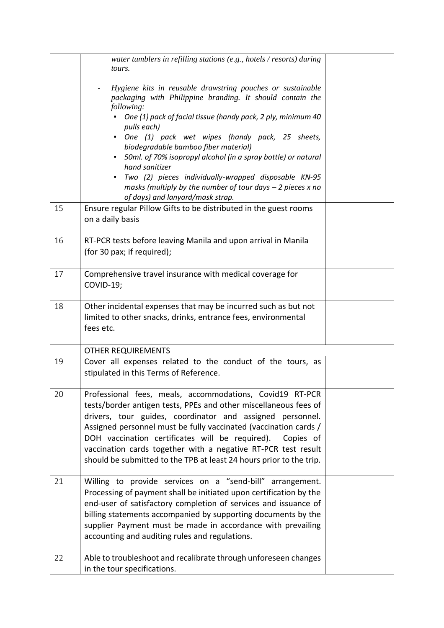|    | water tumblers in refilling stations (e.g., hotels / resorts) during<br>tours.                                                                                                                                                                                                                                                                                                                                                                                        |  |
|----|-----------------------------------------------------------------------------------------------------------------------------------------------------------------------------------------------------------------------------------------------------------------------------------------------------------------------------------------------------------------------------------------------------------------------------------------------------------------------|--|
|    | Hygiene kits in reusable drawstring pouches or sustainable<br>packaging with Philippine branding. It should contain the<br>following:                                                                                                                                                                                                                                                                                                                                 |  |
|    | One (1) pack of facial tissue (handy pack, 2 ply, minimum 40<br>pulls each)                                                                                                                                                                                                                                                                                                                                                                                           |  |
|    | - One (1) pack wet wipes (handy pack, 25 sheets,<br>biodegradable bamboo fiber material)                                                                                                                                                                                                                                                                                                                                                                              |  |
|    | 50ml. of 70% isopropyl alcohol (in a spray bottle) or natural<br>hand sanitizer                                                                                                                                                                                                                                                                                                                                                                                       |  |
|    | Two (2) pieces individually-wrapped disposable KN-95<br>masks (multiply by the number of tour days $-$ 2 pieces x no<br>of days) and lanyard/mask strap.                                                                                                                                                                                                                                                                                                              |  |
| 15 | Ensure regular Pillow Gifts to be distributed in the guest rooms<br>on a daily basis                                                                                                                                                                                                                                                                                                                                                                                  |  |
| 16 | RT-PCR tests before leaving Manila and upon arrival in Manila<br>(for 30 pax; if required);                                                                                                                                                                                                                                                                                                                                                                           |  |
| 17 | Comprehensive travel insurance with medical coverage for<br>COVID-19;                                                                                                                                                                                                                                                                                                                                                                                                 |  |
| 18 | Other incidental expenses that may be incurred such as but not<br>limited to other snacks, drinks, entrance fees, environmental<br>fees etc.                                                                                                                                                                                                                                                                                                                          |  |
|    | <b>OTHER REQUIREMENTS</b>                                                                                                                                                                                                                                                                                                                                                                                                                                             |  |
| 19 | Cover all expenses related to the conduct of the tours, as<br>stipulated in this Terms of Reference.                                                                                                                                                                                                                                                                                                                                                                  |  |
| 20 | Professional fees, meals, accommodations, Covid19 RT-PCR<br>tests/border antigen tests, PPEs and other miscellaneous fees of<br>drivers, tour guides, coordinator and assigned personnel.<br>Assigned personnel must be fully vaccinated (vaccination cards /<br>DOH vaccination certificates will be required).<br>Copies of<br>vaccination cards together with a negative RT-PCR test result<br>should be submitted to the TPB at least 24 hours prior to the trip. |  |
| 21 | Willing to provide services on a "send-bill" arrangement.<br>Processing of payment shall be initiated upon certification by the<br>end-user of satisfactory completion of services and issuance of<br>billing statements accompanied by supporting documents by the<br>supplier Payment must be made in accordance with prevailing<br>accounting and auditing rules and regulations.                                                                                  |  |
| 22 | Able to troubleshoot and recalibrate through unforeseen changes<br>in the tour specifications.                                                                                                                                                                                                                                                                                                                                                                        |  |